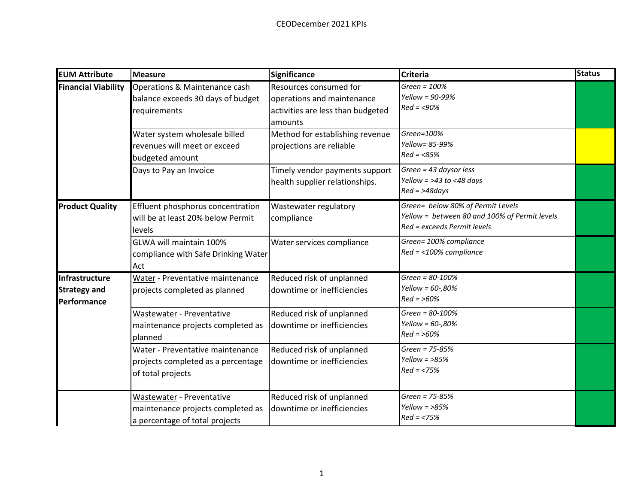| <b>EUM Attribute</b>                                 | <b>Measure</b>                                                                                                                                                         | Significance                                                                                                                                                        | <b>Criteria</b>                                                                                                   | <b>Status</b> |
|------------------------------------------------------|------------------------------------------------------------------------------------------------------------------------------------------------------------------------|---------------------------------------------------------------------------------------------------------------------------------------------------------------------|-------------------------------------------------------------------------------------------------------------------|---------------|
| <b>Financial Viability</b>                           | Operations & Maintenance cash<br>balance exceeds 30 days of budget<br>requirements<br>Water system wholesale billed<br>revenues will meet or exceed<br>budgeted amount | Resources consumed for<br>operations and maintenance<br>activities are less than budgeted<br>amounts<br>Method for establishing revenue<br>projections are reliable | Green = $100%$<br>Yellow = 90-99%<br>$Red = < 90\%$<br>Green=100%<br>Yellow= 85-99%<br>$Red = 85%$                |               |
|                                                      | Days to Pay an Invoice                                                                                                                                                 | Timely vendor payments support<br>health supplier relationships.                                                                                                    | Green = 43 daysor less<br>Yellow = $>43$ to <48 days<br>$Red = > 48 days$                                         |               |
| <b>Product Quality</b>                               | Effluent phosphorus concentration<br>will be at least 20% below Permit<br>levels                                                                                       | Wastewater regulatory<br>compliance                                                                                                                                 | Green= below 80% of Permit Levels<br>Yellow = between 80 and 100% of Permit levels<br>Red = exceeds Permit levels |               |
|                                                      | GLWA will maintain 100%<br>compliance with Safe Drinking Water<br>Act                                                                                                  | Water services compliance                                                                                                                                           | Green= 100% compliance<br>$Red = <100\%$ compliance                                                               |               |
| Infrastructure<br><b>Strategy and</b><br>Performance | Water - Preventative maintenance<br>projects completed as planned                                                                                                      | Reduced risk of unplanned<br>downtime or inefficiencies                                                                                                             | Green = 80-100%<br>Yellow = $60 -,80%$<br>$Red = >60%$                                                            |               |
|                                                      | Wastewater - Preventative<br>maintenance projects completed as<br>planned                                                                                              | Reduced risk of unplanned<br>downtime or inefficiencies                                                                                                             | $Green = 80-100%$<br>Yellow = 60-,80%<br>$Red = >60%$                                                             |               |
|                                                      | Water - Preventative maintenance<br>projects completed as a percentage<br>of total projects                                                                            | Reduced risk of unplanned<br>downtime or inefficiencies                                                                                                             | Green = $75 - 85%$<br>Yellow = $>85\%$<br>$Red = < 75%$                                                           |               |
|                                                      | Wastewater - Preventative<br>maintenance projects completed as<br>a percentage of total projects                                                                       | Reduced risk of unplanned<br>downtime or inefficiencies                                                                                                             | Green = 75-85%<br>Yellow = $>85\%$<br>$Red = < 75%$                                                               |               |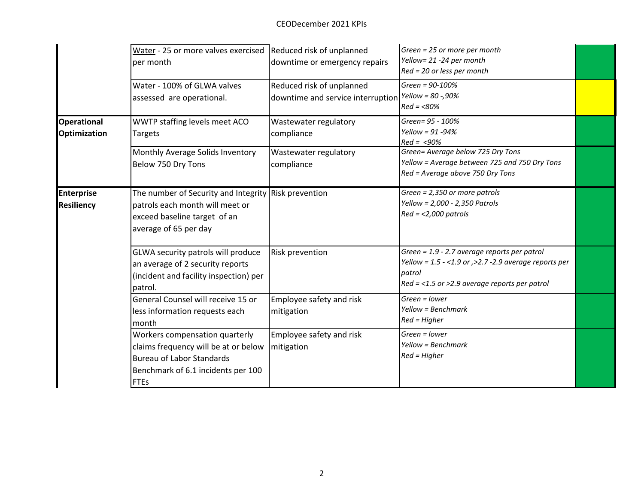|                                           | Water - 25 or more valves exercised Reduced risk of unplanned<br>per month                                                                                      | downtime or emergency repairs                                                    | Green = 25 or more per month<br>Yellow= 21 -24 per month<br>Red = 20 or less per month                                                                                |  |
|-------------------------------------------|-----------------------------------------------------------------------------------------------------------------------------------------------------------------|----------------------------------------------------------------------------------|-----------------------------------------------------------------------------------------------------------------------------------------------------------------------|--|
|                                           | Water - 100% of GLWA valves<br>assessed are operational.                                                                                                        | Reduced risk of unplanned<br>downtime and service interruption Yellow = 80 -,90% | Green = 90-100%<br>$Red = < 80%$                                                                                                                                      |  |
| <b>Operational</b><br><b>Optimization</b> | WWTP staffing levels meet ACO<br><b>Targets</b>                                                                                                                 | Wastewater regulatory<br>compliance                                              | Green= 95 - 100%<br>Yellow = $91 - 94\%$<br>$Red = < 90\%$                                                                                                            |  |
|                                           | Monthly Average Solids Inventory<br>Below 750 Dry Tons                                                                                                          | Wastewater regulatory<br>compliance                                              | Green= Average below 725 Dry Tons<br>Yellow = Average between 725 and 750 Dry Tons<br>Red = Average above 750 Dry Tons                                                |  |
| <b>Enterprise</b><br><b>Resiliency</b>    | The number of Security and Integrity Risk prevention<br>patrols each month will meet or<br>exceed baseline target of an<br>average of 65 per day                |                                                                                  | $Green = 2,350$ or more patrols<br>Yellow = 2,000 - 2,350 Patrols<br>$Red = <2,000$ patrols                                                                           |  |
|                                           | GLWA security patrols will produce<br>an average of 2 security reports<br>(incident and facility inspection) per<br>patrol.                                     | Risk prevention                                                                  | Green = 1.9 - 2.7 average reports per patrol<br>Yellow = $1.5 - <1.9$ or $>2.7 -2.9$ average reports per<br>patrol<br>$Red = <1.5$ or >2.9 average reports per patrol |  |
|                                           | General Counsel will receive 15 or<br>less information requests each<br>month                                                                                   | Employee safety and risk<br>mitigation                                           | Green = lower<br>Yellow = Benchmark<br>$Red = Higher$                                                                                                                 |  |
|                                           | Workers compensation quarterly<br>claims frequency will be at or below<br><b>Bureau of Labor Standards</b><br>Benchmark of 6.1 incidents per 100<br><b>FTEs</b> | Employee safety and risk<br>mitigation                                           | Green = lower<br>Yellow = Benchmark<br>$Red = Higher$                                                                                                                 |  |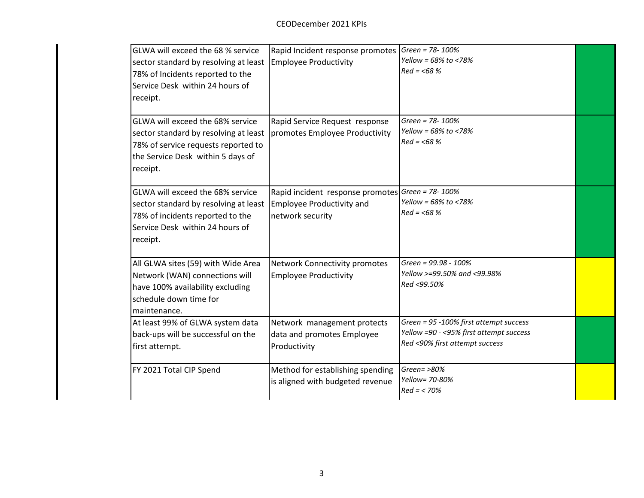| GLWA will exceed the 68 % service<br>sector standard by resolving at least<br>78% of Incidents reported to the<br>Service Desk within 24 hours of<br>receipt.     | Rapid Incident response promotes   Green = 78-100%<br><b>Employee Productivity</b>                | Yellow = $68\%$ to <78%<br>$Red = < 68%$                                                                            |  |
|-------------------------------------------------------------------------------------------------------------------------------------------------------------------|---------------------------------------------------------------------------------------------------|---------------------------------------------------------------------------------------------------------------------|--|
| GLWA will exceed the 68% service<br>sector standard by resolving at least<br>78% of service requests reported to<br>the Service Desk within 5 days of<br>receipt. | Rapid Service Request response<br>promotes Employee Productivity                                  | Green = 78-100%<br>Yellow = 68% to <78%<br>$Red = < 68%$                                                            |  |
| GLWA will exceed the 68% service<br>sector standard by resolving at least<br>78% of incidents reported to the<br>Service Desk within 24 hours of<br>receipt.      | Rapid incident response promotes Green = 78-100%<br>Employee Productivity and<br>network security | Yellow = 68% to <78%<br>$Red = < 68%$                                                                               |  |
| All GLWA sites (59) with Wide Area<br>Network (WAN) connections will<br>have 100% availability excluding<br>schedule down time for<br>maintenance.                | Network Connectivity promotes<br><b>Employee Productivity</b>                                     | Green = 99.98 - 100%<br>Yellow >=99.50% and <99.98%<br>Red <99.50%                                                  |  |
| At least 99% of GLWA system data<br>back-ups will be successful on the<br>first attempt.                                                                          | Network management protects<br>data and promotes Employee<br>Productivity                         | Green = 95 -100% first attempt success<br>Yellow =90 - <95% first attempt success<br>Red <90% first attempt success |  |
| FY 2021 Total CIP Spend                                                                                                                                           | Method for establishing spending<br>is aligned with budgeted revenue                              | Green= $>80\%$<br>Yellow= 70-80%<br>$Red = < 70%$                                                                   |  |